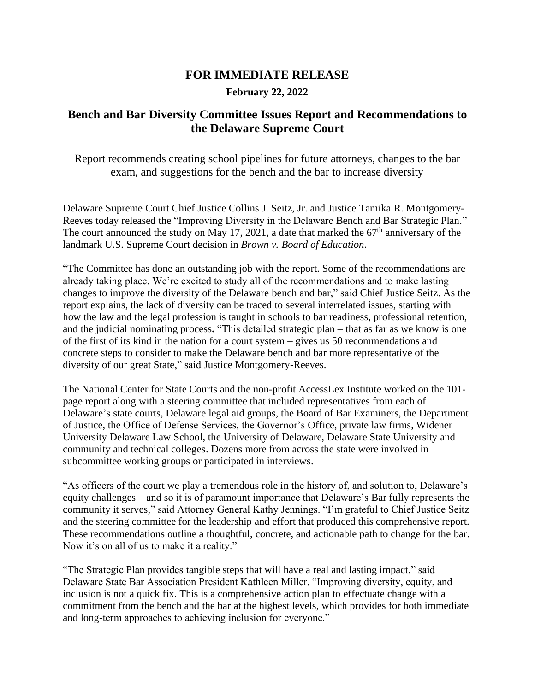## **FOR IMMEDIATE RELEASE**

**February 22, 2022**

## **Bench and Bar Diversity Committee Issues Report and Recommendations to the Delaware Supreme Court**

Report recommends creating school pipelines for future attorneys, changes to the bar exam, and suggestions for the bench and the bar to increase diversity

Delaware Supreme Court Chief Justice Collins J. Seitz, Jr. and Justice Tamika R. Montgomery-Reeves today released the "Improving Diversity in the Delaware Bench and Bar Strategic Plan." The court announced the study on May 17, 2021, a date that marked the  $67<sup>th</sup>$  anniversary of the landmark U.S. Supreme Court decision in *Brown v. Board of Education*.

"The Committee has done an outstanding job with the report. Some of the recommendations are already taking place. We're excited to study all of the recommendations and to make lasting changes to improve the diversity of the Delaware bench and bar," said Chief Justice Seitz. As the report explains, the lack of diversity can be traced to several interrelated issues, starting with how the law and the legal profession is taught in schools to bar readiness, professional retention, and the judicial nominating process**.** "This detailed strategic plan – that as far as we know is one of the first of its kind in the nation for a court system – gives us 50 recommendations and concrete steps to consider to make the Delaware bench and bar more representative of the diversity of our great State," said Justice Montgomery-Reeves.

The National Center for State Courts and the non-profit AccessLex Institute worked on the 101 page report along with a steering committee that included representatives from each of Delaware's state courts, Delaware legal aid groups, the Board of Bar Examiners, the Department of Justice, the Office of Defense Services, the Governor's Office, private law firms, Widener University Delaware Law School, the University of Delaware, Delaware State University and community and technical colleges. Dozens more from across the state were involved in subcommittee working groups or participated in interviews.

"As officers of the court we play a tremendous role in the history of, and solution to, Delaware's equity challenges – and so it is of paramount importance that Delaware's Bar fully represents the community it serves," said Attorney General Kathy Jennings. "I'm grateful to Chief Justice Seitz and the steering committee for the leadership and effort that produced this comprehensive report. These recommendations outline a thoughtful, concrete, and actionable path to change for the bar. Now it's on all of us to make it a reality."

"The Strategic Plan provides tangible steps that will have a real and lasting impact," said Delaware State Bar Association President Kathleen Miller. "Improving diversity, equity, and inclusion is not a quick fix. This is a comprehensive action plan to effectuate change with a commitment from the bench and the bar at the highest levels, which provides for both immediate and long-term approaches to achieving inclusion for everyone."